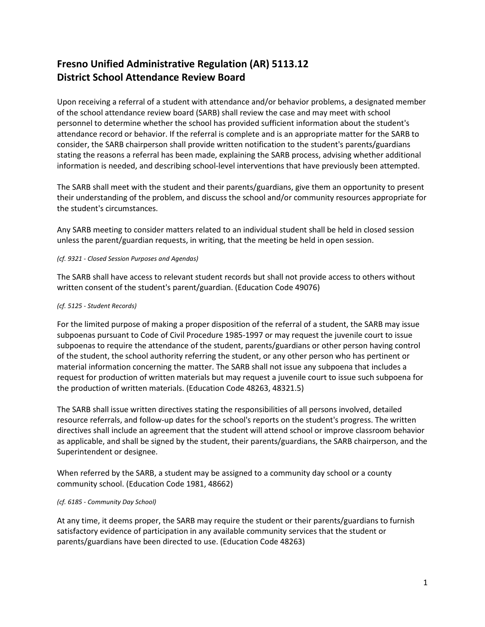## **Fresno Unified Administrative Regulation (AR) 5113.12 District School Attendance Review Board**

Upon receiving a referral of a student with attendance and/or behavior problems, a designated member of the school attendance review board (SARB) shall review the case and may meet with school personnel to determine whether the school has provided sufficient information about the student's attendance record or behavior. If the referral is complete and is an appropriate matter for the SARB to consider, the SARB chairperson shall provide written notification to the student's parents/guardians stating the reasons a referral has been made, explaining the SARB process, advising whether additional information is needed, and describing school-level interventions that have previously been attempted.

The SARB shall meet with the student and their parents/guardians, give them an opportunity to present their understanding of the problem, and discuss the school and/or community resources appropriate for the student's circumstances.

Any SARB meeting to consider matters related to an individual student shall be held in closed session unless the parent/guardian requests, in writing, that the meeting be held in open session.

## *(cf. 9321 - Closed Session Purposes and Agendas)*

The SARB shall have access to relevant student records but shall not provide access to others without written consent of the student's parent/guardian. (Education Code 49076)

## *(cf. 5125 - Student Records)*

For the limited purpose of making a proper disposition of the referral of a student, the SARB may issue subpoenas pursuant to Code of Civil Procedure 1985-1997 or may request the juvenile court to issue subpoenas to require the attendance of the student, parents/guardians or other person having control of the student, the school authority referring the student, or any other person who has pertinent or material information concerning the matter. The SARB shall not issue any subpoena that includes a request for production of written materials but may request a juvenile court to issue such subpoena for the production of written materials. (Education Code 48263, 48321.5)

The SARB shall issue written directives stating the responsibilities of all persons involved, detailed resource referrals, and follow-up dates for the school's reports on the student's progress. The written directives shall include an agreement that the student will attend school or improve classroom behavior as applicable, and shall be signed by the student, their parents/guardians, the SARB chairperson, and the Superintendent or designee.

When referred by the SARB, a student may be assigned to a community day school or a county community school. (Education Code 1981, 48662)

## *(cf. 6185 - Community Day School)*

At any time, it deems proper, the SARB may require the student or their parents/guardians to furnish satisfactory evidence of participation in any available community services that the student or parents/guardians have been directed to use. (Education Code 48263)